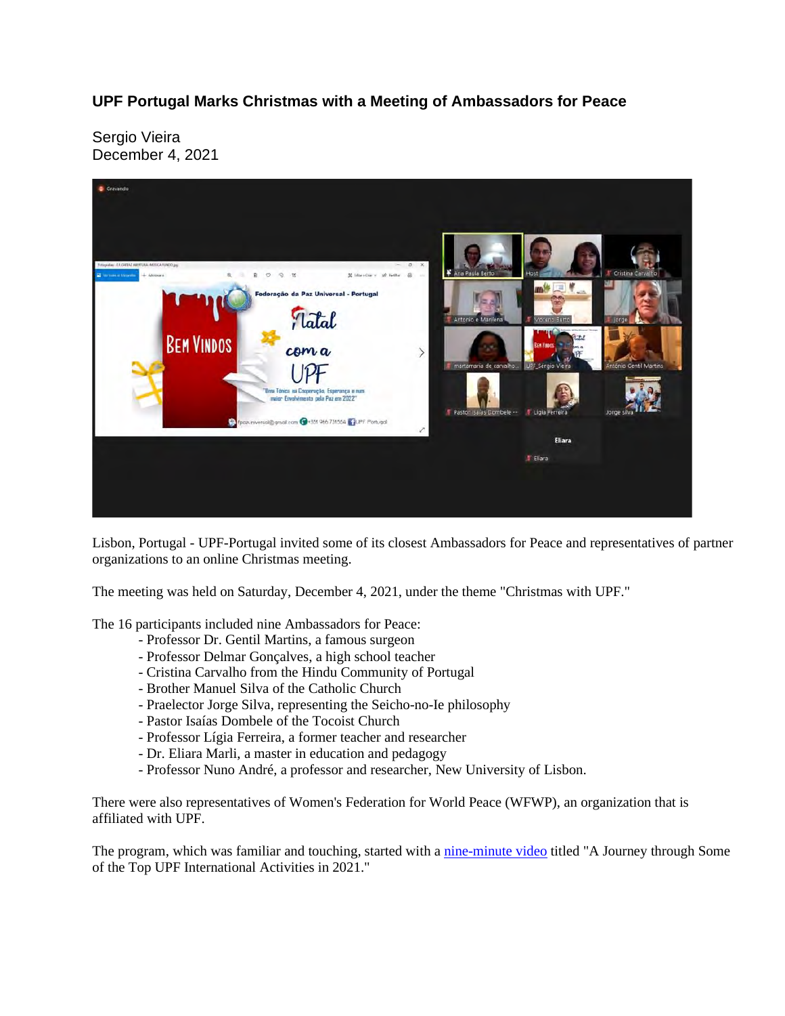## **UPF Portugal Marks Christmas with a Meeting of Ambassadors for Peace**

Sergio Vieira December 4, 2021



Lisbon, Portugal - UPF-Portugal invited some of its closest Ambassadors for Peace and representatives of partner organizations to an online Christmas meeting.

The meeting was held on Saturday, December 4, 2021, under the theme "Christmas with UPF."

The 16 participants included nine Ambassadors for Peace:

- Professor Dr. Gentil Martins, a famous surgeon
- Professor Delmar Gonçalves, a high school teacher
- Cristina Carvalho from the Hindu Community of Portugal
- Brother Manuel Silva of the Catholic Church
- Praelector Jorge Silva, representing the Seicho-no-Ie philosophy
- Pastor Isaías Dombele of the Tocoist Church
- Professor Lígia Ferreira, a former teacher and researcher
- Dr. Eliara Marli, a master in education and pedagogy
- Professor Nuno André, a professor and researcher, New University of Lisbon.

There were also representatives of Women's Federation for World Peace (WFWP), an organization that is affiliated with UPF.

The program, which was familiar and touching, started with a nine-minute video titled "A Journey through Some of the Top UPF International Activities in 2021."